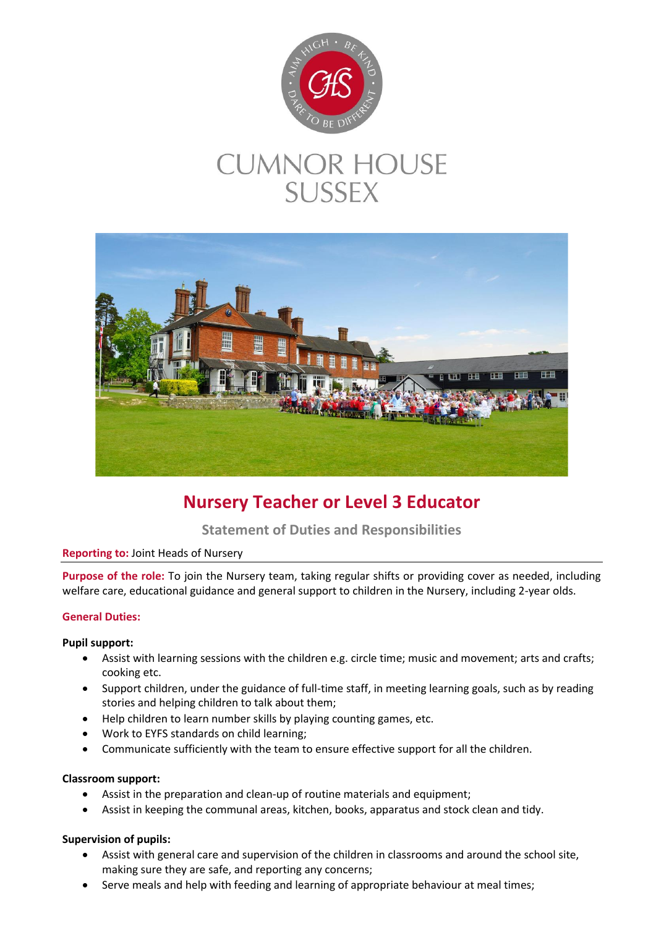

# **CUMNOR HOUSE SUSSEX**



## **Nursery Teacher or Level 3 Educator**

### **Statement of Duties and Responsibilities**

#### **Reporting to:** Joint Heads of Nursery

**Purpose of the role:** To join the Nursery team, taking regular shifts or providing cover as needed, including welfare care, educational guidance and general support to children in the Nursery, including 2-year olds.

#### **General Duties:**

#### **Pupil support:**

- Assist with learning sessions with the children e.g. circle time; music and movement; arts and crafts; cooking etc.
- Support children, under the guidance of full-time staff, in meeting learning goals, such as by reading stories and helping children to talk about them;
- Help children to learn number skills by playing counting games, etc.
- Work to EYFS standards on child learning;
- Communicate sufficiently with the team to ensure effective support for all the children.

#### **Classroom support:**

- Assist in the preparation and clean-up of routine materials and equipment;
- Assist in keeping the communal areas, kitchen, books, apparatus and stock clean and tidy.

#### **Supervision of pupils:**

- Assist with general care and supervision of the children in classrooms and around the school site, making sure they are safe, and reporting any concerns;
- Serve meals and help with feeding and learning of appropriate behaviour at meal times;